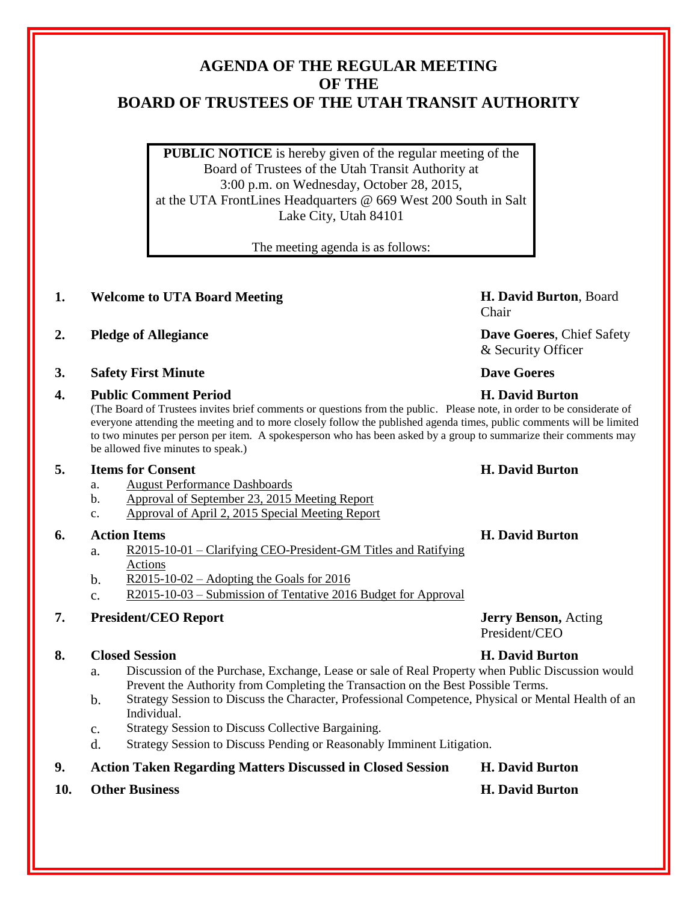## **AGENDA OF THE REGULAR MEETING OF THE BOARD OF TRUSTEES OF THE UTAH TRANSIT AUTHORITY**

**PUBLIC NOTICE** is hereby given of the regular meeting of the Board of Trustees of the Utah Transit Authority at 3:00 p.m. on Wednesday, October 28, 2015, at the UTA FrontLines Headquarters @ 669 West 200 South in Salt Lake City, Utah 84101

The meeting agenda is as follows:

## **1. Welcome to UTA Board Meeting H. David Burton**, Board

- **2. Pledge of Allegiance Dave Goeres**, Chief Safety
- **3. Safety First Minute Dave Goeres**

## **4. Public Comment Period H. David Burton**

(The Board of Trustees invites brief comments or questions from the public. Please note, in order to be considerate of everyone attending the meeting and to more closely follow the published agenda times, public comments will be limited to two minutes per person per item. A spokesperson who has been asked by a group to summarize their comments may be allowed five minutes to speak.)

## **5. Items for Consent H. David Burton**

- a. August Performance Dashboards
- b. Approval of September 23, 2015 Meeting Report
- c. Approval of April 2, 2015 Special Meeting Report

## **6. Action Items H. David Burton**

- a. R2015-10-01 Clarifying CEO-President-GM Titles and Ratifying Actions
- b. R2015-10-02 Adopting the Goals for 2016
- c. R2015-10-03 Submission of Tentative 2016 Budget for Approval

## **7. President/CEO Report Jerry Benson,** Acting

## **8. Closed Session H. David Burton**

- a. Discussion of the Purchase, Exchange, Lease or sale of Real Property when Public Discussion would Prevent the Authority from Completing the Transaction on the Best Possible Terms.
- b. Strategy Session to Discuss the Character, Professional Competence, Physical or Mental Health of an Individual.
- c. Strategy Session to Discuss Collective Bargaining.
- d. Strategy Session to Discuss Pending or Reasonably Imminent Litigation.

## **9. Action Taken Regarding Matters Discussed in Closed Session H. David Burton**

**10. Other Business H. David Burton**

# Chair

& Security Officer

President/CEO